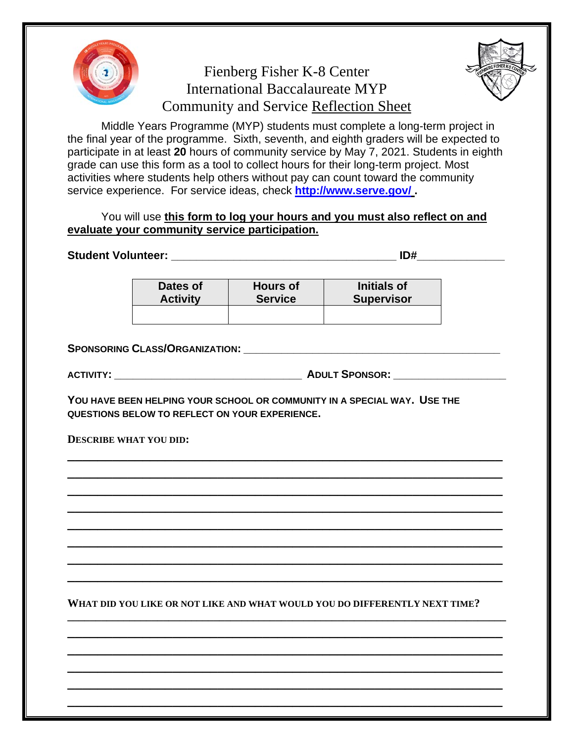

## Fienberg Fisher K-8 Center International Baccalaureate MYP Community and Service Reflection Sheet



Middle Years Programme (MYP) students must complete a long-term project in the final year of the programme. Sixth, seventh, and eighth graders will be expected to participate in at least **20** hours of community service by May 7, 2021. Students in eighth grade can use this form as a tool to collect hours for their long-term project. Most activities where students help others without pay can count toward the community service experience. For service ideas, check **<http://www.serve.gov/> .**

You will use **this form to log your hours and you must also reflect on and evaluate your community service participation.**

**Student Volunteer: \_\_\_\_\_\_\_\_\_\_\_\_\_\_\_\_\_\_\_\_\_\_\_\_\_\_\_\_\_\_\_\_\_\_\_\_ ID#\_\_\_\_\_\_\_\_\_\_\_\_\_\_ Dates of Activity Hours of Service Initials of Supervisor SPONSORING CLASS/ORGANIZATION: \_\_\_\_\_\_\_\_\_\_\_\_\_\_\_\_\_\_\_\_\_\_\_\_\_\_\_\_\_\_\_\_\_\_\_\_\_\_\_\_\_ ACTIVITY: \_\_\_\_\_\_\_\_\_\_\_\_\_\_\_\_\_\_\_\_\_\_\_\_\_\_\_\_\_\_ ADULT SPONSOR: \_\_\_\_\_\_\_\_\_\_\_\_\_\_\_\_\_\_ YOU HAVE BEEN HELPING YOUR SCHOOL OR COMMUNITY IN A SPECIAL WAY. USE THE QUESTIONS BELOW TO REFLECT ON YOUR EXPERIENCE. DESCRIBE WHAT YOU DID: \_\_\_\_\_\_\_\_\_\_\_\_\_\_\_\_\_\_\_\_\_\_\_\_\_\_\_\_\_\_\_\_\_\_\_\_\_\_\_\_\_\_\_\_\_\_\_\_\_\_\_\_\_\_\_\_\_\_ \_\_\_\_\_\_\_\_\_\_\_\_\_\_\_\_\_\_\_\_\_\_\_\_\_\_\_\_\_\_\_\_\_\_\_\_\_\_\_\_\_\_\_\_\_\_\_\_\_\_\_\_\_\_\_\_\_\_ \_\_\_\_\_\_\_\_\_\_\_\_\_\_\_\_\_\_\_\_\_\_\_\_\_\_\_\_\_\_\_\_\_\_\_\_\_\_\_\_\_\_\_\_\_\_\_\_\_\_\_\_\_\_\_\_\_\_ \_\_\_\_\_\_\_\_\_\_\_\_\_\_\_\_\_\_\_\_\_\_\_\_\_\_\_\_\_\_\_\_\_\_\_\_\_\_\_\_\_\_\_\_\_\_\_\_\_\_\_\_\_\_\_\_\_\_ \_\_\_\_\_\_\_\_\_\_\_\_\_\_\_\_\_\_\_\_\_\_\_\_\_\_\_\_\_\_\_\_\_\_\_\_\_\_\_\_\_\_\_\_\_\_\_\_\_\_\_\_\_\_\_\_\_\_ \_\_\_\_\_\_\_\_\_\_\_\_\_\_\_\_\_\_\_\_\_\_\_\_\_\_\_\_\_\_\_\_\_\_\_\_\_\_\_\_\_\_\_\_\_\_\_\_\_\_\_\_\_\_\_\_\_\_ \_\_\_\_\_\_\_\_\_\_\_\_\_\_\_\_\_\_\_\_\_\_\_\_\_\_\_\_\_\_\_\_\_\_\_\_\_\_\_\_\_\_\_\_\_\_\_\_\_\_\_\_\_\_\_\_\_\_ \_\_\_\_\_\_\_\_\_\_\_\_\_\_\_\_\_\_\_\_\_\_\_\_\_\_\_\_\_\_\_\_\_\_\_\_\_\_\_\_\_\_\_\_\_\_\_\_\_\_\_\_\_\_\_\_\_\_ WHAT DID YOU LIKE OR NOT LIKE AND WHAT WOULD YOU DO DIFFERENTLY NEXT TIME? \_\_\_\_\_\_\_\_\_\_\_\_\_\_\_\_\_\_\_\_\_\_\_\_\_\_\_\_\_\_\_\_\_\_\_\_\_\_\_\_\_\_\_\_\_\_\_\_\_\_\_\_\_\_\_\_\_\_\_\_\_\_\_\_\_\_\_\_\_\_\_\_\_\_\_\_\_\_ \_\_\_\_\_\_\_\_\_\_\_\_\_\_\_\_\_\_\_\_\_\_\_\_\_\_\_\_\_\_\_\_\_\_\_\_\_\_\_\_\_\_\_\_\_\_\_\_\_\_\_\_\_\_\_\_\_\_**

**\_\_\_\_\_\_\_\_\_\_\_\_\_\_\_\_\_\_\_\_\_\_\_\_\_\_\_\_\_\_\_\_\_\_\_\_\_\_\_\_\_\_\_\_\_\_\_\_\_\_\_\_\_\_\_\_\_\_ \_\_\_\_\_\_\_\_\_\_\_\_\_\_\_\_\_\_\_\_\_\_\_\_\_\_\_\_\_\_\_\_\_\_\_\_\_\_\_\_\_\_\_\_\_\_\_\_\_\_\_\_\_\_\_\_\_\_ \_\_\_\_\_\_\_\_\_\_\_\_\_\_\_\_\_\_\_\_\_\_\_\_\_\_\_\_\_\_\_\_\_\_\_\_\_\_\_\_\_\_\_\_\_\_\_\_\_\_\_\_\_\_\_\_\_\_ \_\_\_\_\_\_\_\_\_\_\_\_\_\_\_\_\_\_\_\_\_\_\_\_\_\_\_\_\_\_\_\_\_\_\_\_\_\_\_\_\_\_\_\_\_\_\_\_\_\_\_\_\_\_\_\_\_\_**